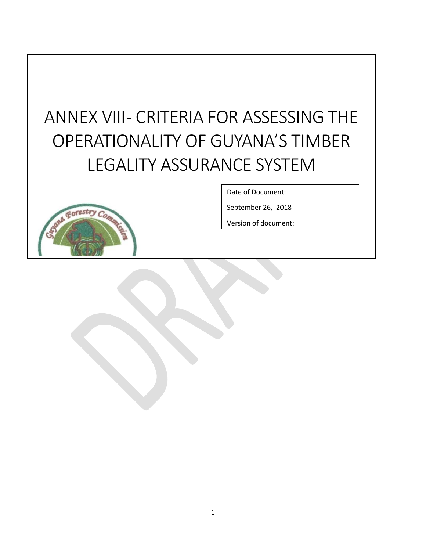# ANNEX VIII- CRITERIA FOR ASSESSING THE OPERATIONALITY OF GUYANA'S TIMBER LEGALITY ASSURANCE SYSTEM



Date of Document:

September 26, 2018

Version of document: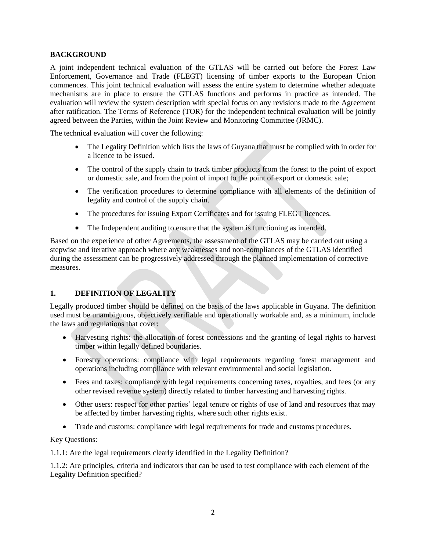#### **BACKGROUND**

A joint independent technical evaluation of the GTLAS will be carried out before the Forest Law Enforcement, Governance and Trade (FLEGT) licensing of timber exports to the European Union commences. This joint technical evaluation will assess the entire system to determine whether adequate mechanisms are in place to ensure the GTLAS functions and performs in practice as intended. The evaluation will review the system description with special focus on any revisions made to the Agreement after ratification. The Terms of Reference (TOR) for the independent technical evaluation will be jointly agreed between the Parties, within the Joint Review and Monitoring Committee (JRMC).

The technical evaluation will cover the following:

- The Legality Definition which lists the laws of Guyana that must be complied with in order for a licence to be issued.
- The control of the supply chain to track timber products from the forest to the point of export or domestic sale, and from the point of import to the point of export or domestic sale;
- The verification procedures to determine compliance with all elements of the definition of legality and control of the supply chain.
- The procedures for issuing Export Certificates and for issuing FLEGT licences.
- The Independent auditing to ensure that the system is functioning as intended.

Based on the experience of other Agreements, the assessment of the GTLAS may be carried out using a stepwise and iterative approach where any weaknesses and non-compliances of the GTLAS identified during the assessment can be progressively addressed through the planned implementation of corrective measures.

# **1. DEFINITION OF LEGALITY**

Legally produced timber should be defined on the basis of the laws applicable in Guyana. The definition used must be unambiguous, objectively verifiable and operationally workable and, as a minimum, include the laws and regulations that cover:

- Harvesting rights: the allocation of forest concessions and the granting of legal rights to harvest timber within legally defined boundaries.
- Forestry operations: compliance with legal requirements regarding forest management and operations including compliance with relevant environmental and social legislation.
- Fees and taxes: compliance with legal requirements concerning taxes, royalties, and fees (or any other revised revenue system) directly related to timber harvesting and harvesting rights.
- Other users: respect for other parties' legal tenure or rights of use of land and resources that may be affected by timber harvesting rights, where such other rights exist.
- Trade and customs: compliance with legal requirements for trade and customs procedures.

#### Key Questions:

1.1.1: Are the legal requirements clearly identified in the Legality Definition?

1.1.2: Are principles, criteria and indicators that can be used to test compliance with each element of the Legality Definition specified?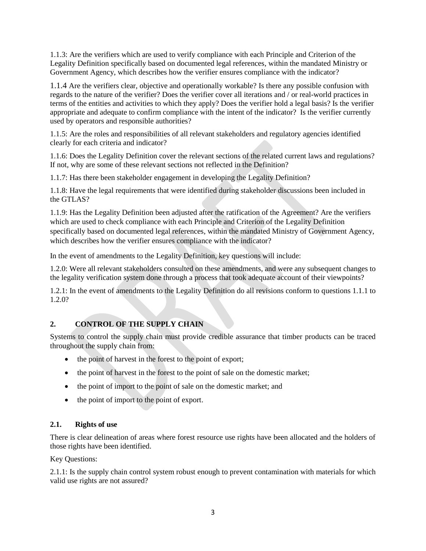1.1.3: Are the verifiers which are used to verify compliance with each Principle and Criterion of the Legality Definition specifically based on documented legal references, within the mandated Ministry or Government Agency, which describes how the verifier ensures compliance with the indicator?

1.1.4 Are the verifiers clear, objective and operationally workable? Is there any possible confusion with regards to the nature of the verifier? Does the verifier cover all iterations and / or real-world practices in terms of the entities and activities to which they apply? Does the verifier hold a legal basis? Is the verifier appropriate and adequate to confirm compliance with the intent of the indicator? Is the verifier currently used by operators and responsible authorities?

1.1.5: Are the roles and responsibilities of all relevant stakeholders and regulatory agencies identified clearly for each criteria and indicator?

1.1.6: Does the Legality Definition cover the relevant sections of the related current laws and regulations? If not, why are some of these relevant sections not reflected in the Definition?

1.1.7: Has there been stakeholder engagement in developing the Legality Definition?

1.1.8: Have the legal requirements that were identified during stakeholder discussions been included in the GTLAS?

1.1.9: Has the Legality Definition been adjusted after the ratification of the Agreement? Are the verifiers which are used to check compliance with each Principle and Criterion of the Legality Definition specifically based on documented legal references, within the mandated Ministry of Government Agency, which describes how the verifier ensures compliance with the indicator?

In the event of amendments to the Legality Definition, key questions will include:

1.2.0: Were all relevant stakeholders consulted on these amendments, and were any subsequent changes to the legality verification system done through a process that took adequate account of their viewpoints?

1.2.1: In the event of amendments to the Legality Definition do all revisions conform to questions 1.1.1 to 1.2.0?

# **2. CONTROL OF THE SUPPLY CHAIN**

Systems to control the supply chain must provide credible assurance that timber products can be traced throughout the supply chain from:

- the point of harvest in the forest to the point of export;
- the point of harvest in the forest to the point of sale on the domestic market;
- the point of import to the point of sale on the domestic market; and
- the point of import to the point of export.

#### **2.1. Rights of use**

There is clear delineation of areas where forest resource use rights have been allocated and the holders of those rights have been identified.

Key Questions:

2.1.1: Is the supply chain control system robust enough to prevent contamination with materials for which valid use rights are not assured?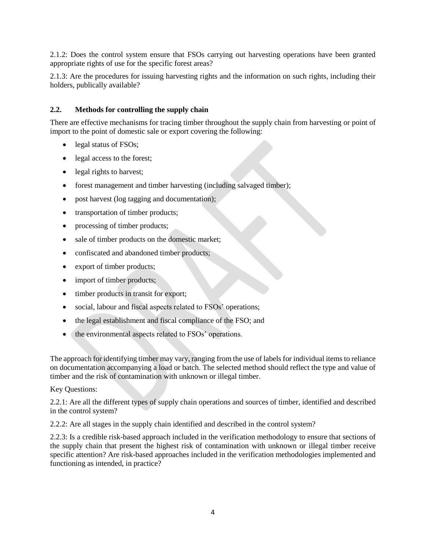2.1.2: Does the control system ensure that FSOs carrying out harvesting operations have been granted appropriate rights of use for the specific forest areas?

2.1.3: Are the procedures for issuing harvesting rights and the information on such rights, including their holders, publically available?

# **2.2. Methods for controlling the supply chain**

There are effective mechanisms for tracing timber throughout the supply chain from harvesting or point of import to the point of domestic sale or export covering the following:

- legal status of FSOs;
- legal access to the forest;
- legal rights to harvest;
- forest management and timber harvesting (including salvaged timber);
- post harvest (log tagging and documentation);
- transportation of timber products;
- processing of timber products;
- sale of timber products on the domestic market;
- confiscated and abandoned timber products;
- export of timber products;
- import of timber products;
- timber products in transit for export;
- social, labour and fiscal aspects related to FSOs' operations;
- the legal establishment and fiscal compliance of the FSO; and
- the environmental aspects related to FSOs' operations.

The approach for identifying timber may vary, ranging from the use of labels for individual items to reliance on documentation accompanying a load or batch. The selected method should reflect the type and value of timber and the risk of contamination with unknown or illegal timber.

Key Questions:

2.2.1: Are all the different types of supply chain operations and sources of timber, identified and described in the control system?

2.2.2: Are all stages in the supply chain identified and described in the control system?

2.2.3: Is a credible risk-based approach included in the verification methodology to ensure that sections of the supply chain that present the highest risk of contamination with unknown or illegal timber receive specific attention? Are risk-based approaches included in the verification methodologies implemented and functioning as intended, in practice?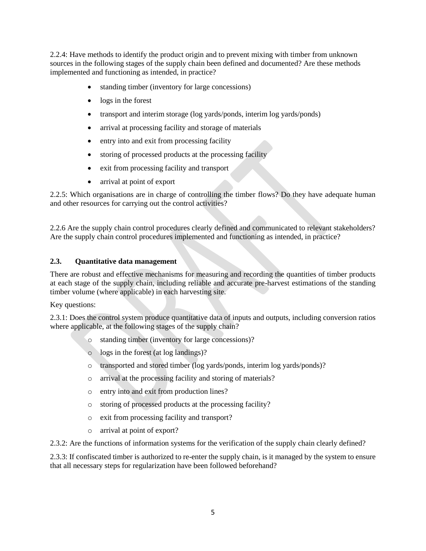2.2.4: Have methods to identify the product origin and to prevent mixing with timber from unknown sources in the following stages of the supply chain been defined and documented? Are these methods implemented and functioning as intended, in practice?

- standing timber (inventory for large concessions)
- logs in the forest
- transport and interim storage (log yards/ponds, interim log yards/ponds)
- arrival at processing facility and storage of materials
- entry into and exit from processing facility
- storing of processed products at the processing facility
- exit from processing facility and transport
- arrival at point of export

2.2.5: Which organisations are in charge of controlling the timber flows? Do they have adequate human and other resources for carrying out the control activities?

2.2.6 Are the supply chain control procedures clearly defined and communicated to relevant stakeholders? Are the supply chain control procedures implemented and functioning as intended, in practice?

# **2.3. Quantitative data management**

There are robust and effective mechanisms for measuring and recording the quantities of timber products at each stage of the supply chain, including reliable and accurate pre-harvest estimations of the standing timber volume (where applicable) in each harvesting site.

Key questions:

2.3.1: Does the control system produce quantitative data of inputs and outputs, including conversion ratios where applicable, at the following stages of the supply chain?

- o standing timber (inventory for large concessions)?
- o logs in the forest (at log landings)?
- o transported and stored timber (log yards/ponds, interim log yards/ponds)?
- o arrival at the processing facility and storing of materials?
- o entry into and exit from production lines?
- o storing of processed products at the processing facility?
- o exit from processing facility and transport?
- o arrival at point of export?

2.3.2: Are the functions of information systems for the verification of the supply chain clearly defined?

2.3.3: If confiscated timber is authorized to re-enter the supply chain, is it managed by the system to ensure that all necessary steps for regularization have been followed beforehand?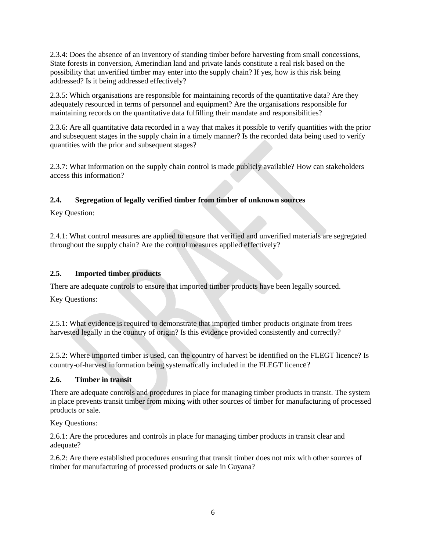2.3.4: Does the absence of an inventory of standing timber before harvesting from small concessions, State forests in conversion, Amerindian land and private lands constitute a real risk based on the possibility that unverified timber may enter into the supply chain? If yes, how is this risk being addressed? Is it being addressed effectively?

2.3.5: Which organisations are responsible for maintaining records of the quantitative data? Are they adequately resourced in terms of personnel and equipment? Are the organisations responsible for maintaining records on the quantitative data fulfilling their mandate and responsibilities?

2.3.6: Are all quantitative data recorded in a way that makes it possible to verify quantities with the prior and subsequent stages in the supply chain in a timely manner? Is the recorded data being used to verify quantities with the prior and subsequent stages?

2.3.7: What information on the supply chain control is made publicly available? How can stakeholders access this information?

# **2.4. Segregation of legally verified timber from timber of unknown sources**

Key Question:

2.4.1: What control measures are applied to ensure that verified and unverified materials are segregated throughout the supply chain? Are the control measures applied effectively?

# **2.5. Imported timber products**

There are adequate controls to ensure that imported timber products have been legally sourced.

Key Questions:

2.5.1: What evidence is required to demonstrate that imported timber products originate from trees harvested legally in the country of origin? Is this evidence provided consistently and correctly?

2.5.2: Where imported timber is used, can the country of harvest be identified on the FLEGT licence? Is country-of-harvest information being systematically included in the FLEGT licence?

# **2.6. Timber in transit**

There are adequate controls and procedures in place for managing timber products in transit. The system in place prevents transit timber from mixing with other sources of timber for manufacturing of processed products or sale.

Key Questions:

2.6.1: Are the procedures and controls in place for managing timber products in transit clear and adequate?

2.6.2: Are there established procedures ensuring that transit timber does not mix with other sources of timber for manufacturing of processed products or sale in Guyana?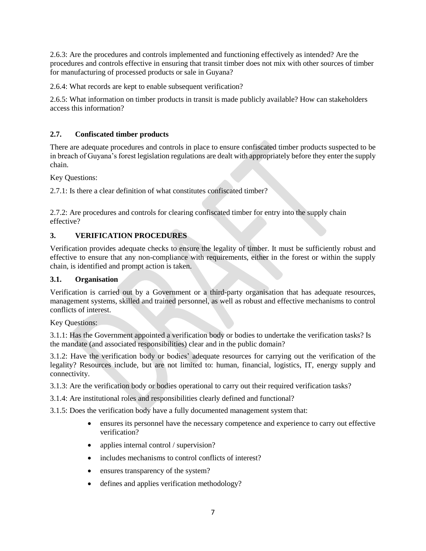2.6.3: Are the procedures and controls implemented and functioning effectively as intended? Are the procedures and controls effective in ensuring that transit timber does not mix with other sources of timber for manufacturing of processed products or sale in Guyana?

2.6.4: What records are kept to enable subsequent verification?

2.6.5: What information on timber products in transit is made publicly available? How can stakeholders access this information?

# **2.7. Confiscated timber products**

There are adequate procedures and controls in place to ensure confiscated timber products suspected to be in breach of Guyana's forest legislation regulations are dealt with appropriately before they enter the supply chain.

Key Questions:

2.7.1: Is there a clear definition of what constitutes confiscated timber?

2.7.2: Are procedures and controls for clearing confiscated timber for entry into the supply chain effective?

# **3. VERIFICATION PROCEDURES**

Verification provides adequate checks to ensure the legality of timber. It must be sufficiently robust and effective to ensure that any non-compliance with requirements, either in the forest or within the supply chain, is identified and prompt action is taken.

# **3.1. Organisation**

Verification is carried out by a Government or a third-party organisation that has adequate resources, management systems, skilled and trained personnel, as well as robust and effective mechanisms to control conflicts of interest.

Key Questions:

3.1.1: Has the Government appointed a verification body or bodies to undertake the verification tasks? Is the mandate (and associated responsibilities) clear and in the public domain?

3.1.2: Have the verification body or bodies' adequate resources for carrying out the verification of the legality? Resources include, but are not limited to: human, financial, logistics, IT, energy supply and connectivity.

- 3.1.3: Are the verification body or bodies operational to carry out their required verification tasks?
- 3.1.4: Are institutional roles and responsibilities clearly defined and functional?

3.1.5: Does the verification body have a fully documented management system that:

- ensures its personnel have the necessary competence and experience to carry out effective verification?
- applies internal control / supervision?
- includes mechanisms to control conflicts of interest?
- ensures transparency of the system?
- defines and applies verification methodology?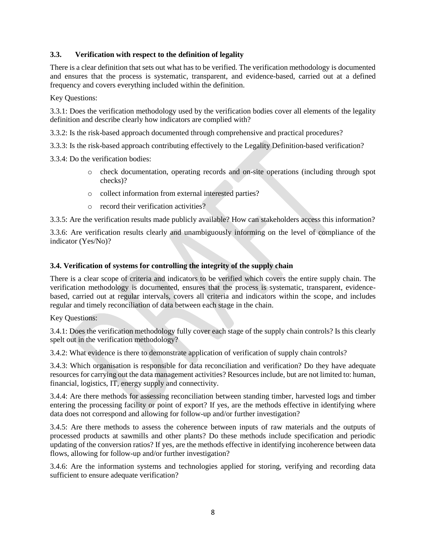#### **3.3. Verification with respect to the definition of legality**

There is a clear definition that sets out what has to be verified. The verification methodology is documented and ensures that the process is systematic, transparent, and evidence-based, carried out at a defined frequency and covers everything included within the definition.

Key Questions:

3.3.1: Does the verification methodology used by the verification bodies cover all elements of the legality definition and describe clearly how indicators are complied with?

3.3.2: Is the risk-based approach documented through comprehensive and practical procedures?

3.3.3: Is the risk-based approach contributing effectively to the Legality Definition-based verification?

3.3.4: Do the verification bodies:

- o check documentation, operating records and on-site operations (including through spot checks)?
- o collect information from external interested parties?
- o record their verification activities?

3.3.5: Are the verification results made publicly available? How can stakeholders access this information?

3.3.6: Are verification results clearly and unambiguously informing on the level of compliance of the indicator (Yes/No)?

#### **3.4. Verification of systems for controlling the integrity of the supply chain**

There is a clear scope of criteria and indicators to be verified which covers the entire supply chain. The verification methodology is documented, ensures that the process is systematic, transparent, evidencebased, carried out at regular intervals, covers all criteria and indicators within the scope, and includes regular and timely reconciliation of data between each stage in the chain.

Key Questions:

3.4.1: Does the verification methodology fully cover each stage of the supply chain controls? Is this clearly spelt out in the verification methodology?

3.4.2: What evidence is there to demonstrate application of verification of supply chain controls?

3.4.3: Which organisation is responsible for data reconciliation and verification? Do they have adequate resources for carrying out the data management activities? Resources include, but are not limited to: human, financial, logistics, IT, energy supply and connectivity.

3.4.4: Are there methods for assessing reconciliation between standing timber, harvested logs and timber entering the processing facility or point of export? If yes, are the methods effective in identifying where data does not correspond and allowing for follow-up and/or further investigation?

3.4.5: Are there methods to assess the coherence between inputs of raw materials and the outputs of processed products at sawmills and other plants? Do these methods include specification and periodic updating of the conversion ratios? If yes, are the methods effective in identifying incoherence between data flows, allowing for follow-up and/or further investigation?

3.4.6: Are the information systems and technologies applied for storing, verifying and recording data sufficient to ensure adequate verification?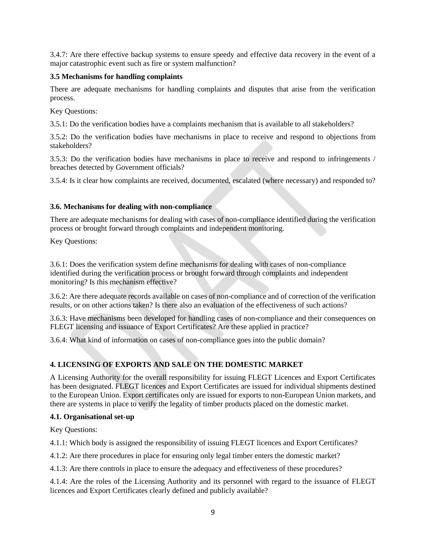3.4.7: Are there effective backup systems to ensure speedy and effective data recovery in the event of a major catastrophic event such as fire or system malfunction?

#### **3.5 Mechanisms for handling complaints**

There are adequate mechanisms for handling complaints and disputes that arise from the verification process.

Key Questions:

3.5.1: Do the verification bodies have a complaints mechanism that is available to all stakeholders?

3.5.2: Do the verification bodies have mechanisms in place to receive and respond to objections from stakeholders?

3.5.3: Do the verification bodies have mechanisms in place to receive and respond to infringements / breaches detected by Government officials?

3.5.4: Is it clear how complaints are received, documented, escalated (where necessary) and responded to?

#### **3.6. Mechanisms for dealing with non-compliance**

There are adequate mechanisms for dealing with cases of non-compliance identified during the verification process or brought forward through complaints and independent monitoring.

Key Questions:

3.6.1: Does the verification system define mechanisms for dealing with cases of non-compliance identified during the verification process or brought forward through complaints and independent monitoring? Is this mechanism effective?

3.6.2: Are there adequate records available on cases of non-compliance and of correction of the verification results, or on other actions taken? Is there also an evaluation of the effectiveness of such actions?

3.6.3: Have mechanisms been developed for handling cases of non-compliance and their consequences on FLEGT licensing and issuance of Export Certificates? Are these applied in practice?

3.6.4: What kind of information on cases of non-compliance goes into the public domain?

# **4. LICENSING OF EXPORTS AND SALE ON THE DOMESTIC MARKET**

A Licensing Authority for the overall responsibility for issuing FLEGT Licences and Export Certificates has been designated. FLEGT licences and Export Certificates are issued for individual shipments destined to the European Union. Export certificates only are issued for exports to non-European Union markets, and there are systems in place to verify the legality of timber products placed on the domestic market.

#### **4.1. Organisational set-up**

Key Questions:

4.1.1: Which body is assigned the responsibility of issuing FLEGT licences and Export Certificates?

4.1.2: Are there procedures in place for ensuring only legal timber enters the domestic market?

4.1.3: Are there controls in place to ensure the adequacy and effectiveness of these procedures?

4.1.4: Are the roles of the Licensing Authority and its personnel with regard to the issuance of FLEGT licences and Export Certificates clearly defined and publicly available?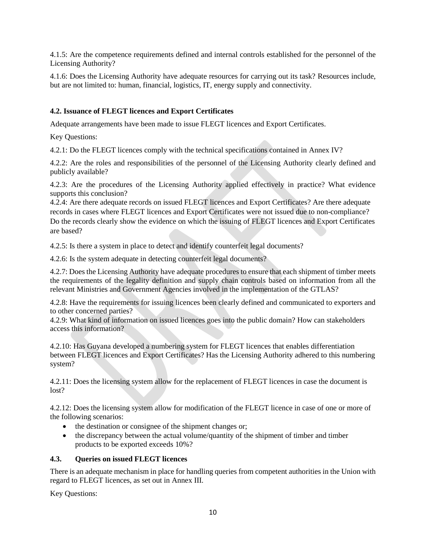4.1.5: Are the competence requirements defined and internal controls established for the personnel of the Licensing Authority?

4.1.6: Does the Licensing Authority have adequate resources for carrying out its task? Resources include, but are not limited to: human, financial, logistics, IT, energy supply and connectivity.

# **4.2. Issuance of FLEGT licences and Export Certificates**

Adequate arrangements have been made to issue FLEGT licences and Export Certificates.

Key Questions:

4.2.1: Do the FLEGT licences comply with the technical specifications contained in Annex IV?

4.2.2: Are the roles and responsibilities of the personnel of the Licensing Authority clearly defined and publicly available?

4.2.3: Are the procedures of the Licensing Authority applied effectively in practice? What evidence supports this conclusion?

4.2.4: Are there adequate records on issued FLEGT licences and Export Certificates? Are there adequate records in cases where FLEGT licences and Export Certificates were not issued due to non-compliance? Do the records clearly show the evidence on which the issuing of FLEGT licences and Export Certificates are based?

4.2.5: Is there a system in place to detect and identify counterfeit legal documents?

4.2.6: Is the system adequate in detecting counterfeit legal documents?

4.2.7: Does the Licensing Authority have adequate procedures to ensure that each shipment of timber meets the requirements of the legality definition and supply chain controls based on information from all the relevant Ministries and Government Agencies involved in the implementation of the GTLAS?

4.2.8: Have the requirements for issuing licences been clearly defined and communicated to exporters and to other concerned parties?

4.2.9: What kind of information on issued licences goes into the public domain? How can stakeholders access this information?

4.2.10: Has Guyana developed a numbering system for FLEGT licences that enables differentiation between FLEGT licences and Export Certificates? Has the Licensing Authority adhered to this numbering system?

4.2.11: Does the licensing system allow for the replacement of FLEGT licences in case the document is lost?

4.2.12: Does the licensing system allow for modification of the FLEGT licence in case of one or more of the following scenarios:

- the destination or consignee of the shipment changes or;
- the discrepancy between the actual volume/quantity of the shipment of timber and timber products to be exported exceeds 10%?

# **4.3. Queries on issued FLEGT licences**

There is an adequate mechanism in place for handling queries from competent authorities in the Union with regard to FLEGT licences, as set out in Annex III.

Key Questions: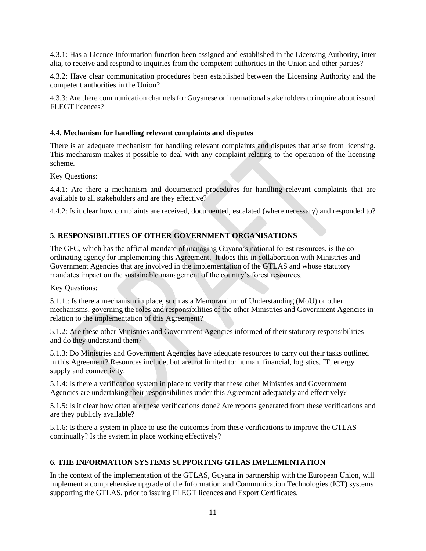4.3.1: Has a Licence Information function been assigned and established in the Licensing Authority, inter alia, to receive and respond to inquiries from the competent authorities in the Union and other parties?

4.3.2: Have clear communication procedures been established between the Licensing Authority and the competent authorities in the Union?

4.3.3: Are there communication channels for Guyanese or international stakeholders to inquire about issued FLEGT licences?

#### **4.4. Mechanism for handling relevant complaints and disputes**

There is an adequate mechanism for handling relevant complaints and disputes that arise from licensing. This mechanism makes it possible to deal with any complaint relating to the operation of the licensing scheme.

Key Questions:

4.4.1: Are there a mechanism and documented procedures for handling relevant complaints that are available to all stakeholders and are they effective?

4.4.2: Is it clear how complaints are received, documented, escalated (where necessary) and responded to?

# **5**. **RESPONSIBILITIES OF OTHER GOVERNMENT ORGANISATIONS**

The GFC, which has the official mandate of managing Guyana's national forest resources, is the coordinating agency for implementing this Agreement. It does this in collaboration with Ministries and Government Agencies that are involved in the implementation of the GTLAS and whose statutory mandates impact on the sustainable management of the country's forest resources.

Key Questions:

5.1.1.: Is there a mechanism in place, such as a Memorandum of Understanding (MoU) or other mechanisms, governing the roles and responsibilities of the other Ministries and Government Agencies in relation to the implementation of this Agreement?

5.1.2: Are these other Ministries and Government Agencies informed of their statutory responsibilities and do they understand them?

5.1.3: Do Ministries and Government Agencies have adequate resources to carry out their tasks outlined in this Agreement? Resources include, but are not limited to: human, financial, logistics, IT, energy supply and connectivity.

5.1.4: Is there a verification system in place to verify that these other Ministries and Government Agencies are undertaking their responsibilities under this Agreement adequately and effectively?

5.1.5: Is it clear how often are these verifications done? Are reports generated from these verifications and are they publicly available?

5.1.6: Is there a system in place to use the outcomes from these verifications to improve the GTLAS continually? Is the system in place working effectively?

# **6. THE INFORMATION SYSTEMS SUPPORTING GTLAS IMPLEMENTATION**

In the context of the implementation of the GTLAS, Guyana in partnership with the European Union, will implement a comprehensive upgrade of the Information and Communication Technologies (ICT) systems supporting the GTLAS, prior to issuing FLEGT licences and Export Certificates.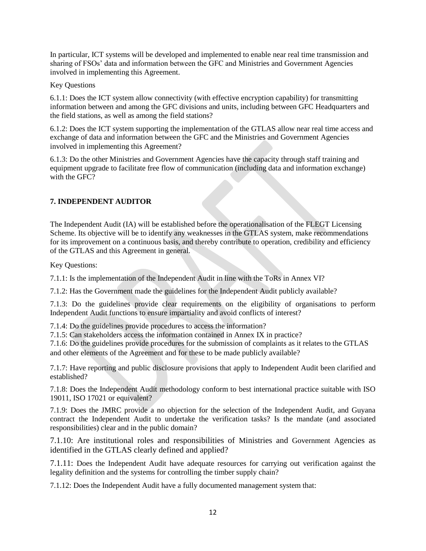In particular, ICT systems will be developed and implemented to enable near real time transmission and sharing of FSOs' data and information between the GFC and Ministries and Government Agencies involved in implementing this Agreement.

#### Key Questions

6.1.1: Does the ICT system allow connectivity (with effective encryption capability) for transmitting information between and among the GFC divisions and units, including between GFC Headquarters and the field stations, as well as among the field stations?

6.1.2: Does the ICT system supporting the implementation of the GTLAS allow near real time access and exchange of data and information between the GFC and the Ministries and Government Agencies involved in implementing this Agreement?

6.1.3: Do the other Ministries and Government Agencies have the capacity through staff training and equipment upgrade to facilitate free flow of communication (including data and information exchange) with the GFC?

# **7. INDEPENDENT AUDITOR**

The Independent Audit (IA) will be established before the operationalisation of the FLEGT Licensing Scheme. Its objective will be to identify any weaknesses in the GTLAS system, make recommendations for its improvement on a continuous basis, and thereby contribute to operation, credibility and efficiency of the GTLAS and this Agreement in general.

Key Questions:

7.1.1: Is the implementation of the Independent Audit in line with the ToRs in Annex VI?

7.1.2: Has the Government made the guidelines for the Independent Audit publicly available?

7.1.3: Do the guidelines provide clear requirements on the eligibility of organisations to perform Independent Audit functions to ensure impartiality and avoid conflicts of interest?

7.1.4: Do the guidelines provide procedures to access the information?

7.1.5: Can stakeholders access the information contained in Annex IX in practice?

7.1.6: Do the guidelines provide procedures for the submission of complaints as it relates to the GTLAS and other elements of the Agreement and for these to be made publicly available?

7.1.7: Have reporting and public disclosure provisions that apply to Independent Audit been clarified and established?

7.1.8: Does the Independent Audit methodology conform to best international practice suitable with ISO 19011, ISO 17021 or equivalent?

7.1.9: Does the JMRC provide a no objection for the selection of the Independent Audit, and Guyana contract the Independent Audit to undertake the verification tasks? Is the mandate (and associated responsibilities) clear and in the public domain?

7.1.10: Are institutional roles and responsibilities of Ministries and Government Agencies as identified in the GTLAS clearly defined and applied?

7.1.11: Does the Independent Audit have adequate resources for carrying out verification against the legality definition and the systems for controlling the timber supply chain?

7.1.12: Does the Independent Audit have a fully documented management system that: